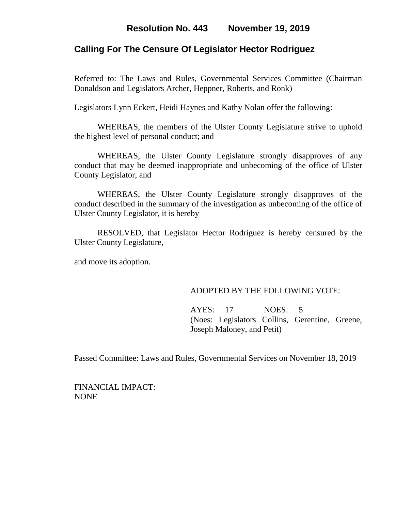## **Resolution No. 443 November 19, 2019**

### **Calling For The Censure Of Legislator Hector Rodriguez**

Referred to: The Laws and Rules, Governmental Services Committee (Chairman Donaldson and Legislators Archer, Heppner, Roberts, and Ronk)

Legislators Lynn Eckert, Heidi Haynes and Kathy Nolan offer the following:

WHEREAS, the members of the Ulster County Legislature strive to uphold the highest level of personal conduct; and

WHEREAS, the Ulster County Legislature strongly disapproves of any conduct that may be deemed inappropriate and unbecoming of the office of Ulster County Legislator, and

WHEREAS, the Ulster County Legislature strongly disapproves of the conduct described in the summary of the investigation as unbecoming of the office of Ulster County Legislator, it is hereby

RESOLVED, that Legislator Hector Rodriguez is hereby censured by the Ulster County Legislature,

and move its adoption.

#### ADOPTED BY THE FOLLOWING VOTE:

AYES: 17 NOES: 5 (Noes: Legislators Collins, Gerentine, Greene, Joseph Maloney, and Petit)

Passed Committee: Laws and Rules, Governmental Services on November 18, 2019

FINANCIAL IMPACT: NONE